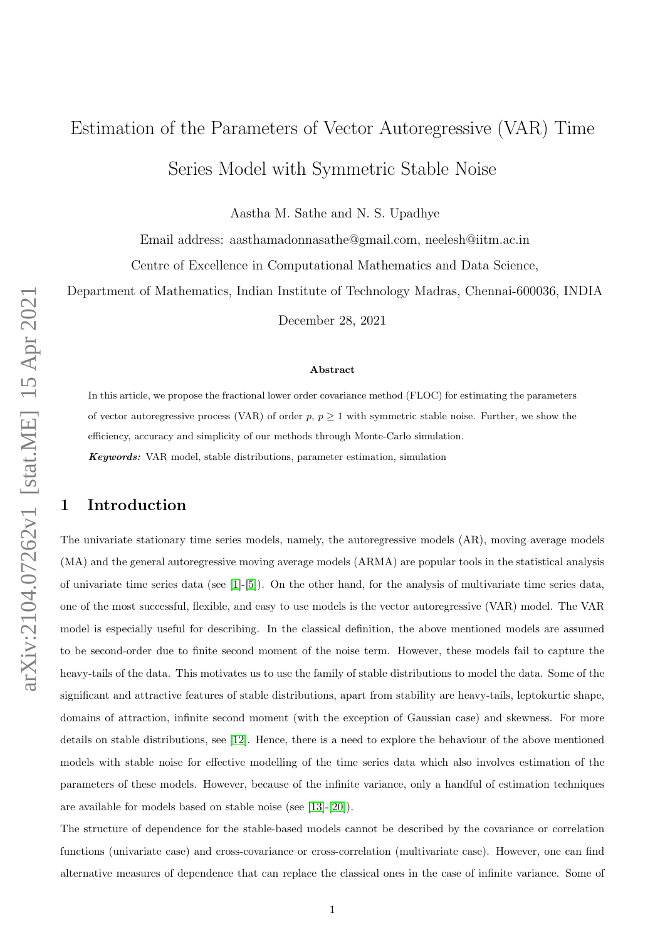# Estimation of the Parameters of Vector Autoregressive (VAR) Time Series Model with Symmetric Stable Noise

Aastha M. Sathe and N. S. Upadhye

Email address: aasthamadonnasathe@gmail.com, neelesh@iitm.ac.in

Centre of Excellence in Computational Mathematics and Data Science,

Department of Mathematics, Indian Institute of Technology Madras, Chennai-600036, INDIA

December 28, 2021

#### Abstract

In this article, we propose the fractional lower order covariance method (FLOC) for estimating the parameters of vector autoregressive process (VAR) of order  $p, p \ge 1$  with symmetric stable noise. Further, we show the efficiency, accuracy and simplicity of our methods through Monte-Carlo simulation.

Keywords: VAR model, stable distributions, parameter estimation, simulation

## 1 Introduction

The univariate stationary time series models, namely, the autoregressive models (AR), moving average models (MA) and the general autoregressive moving average models (ARMA) are popular tools in the statistical analysis of univariate time series data (see [\[1\]](#page-13-0)-[\[5\]](#page-13-1)). On the other hand, for the analysis of multivariate time series data, one of the most successful, flexible, and easy to use models is the vector autoregressive (VAR) model. The VAR model is especially useful for describing. In the classical definition, the above mentioned models are assumed to be second-order due to finite second moment of the noise term. However, these models fail to capture the heavy-tails of the data. This motivates us to use the family of stable distributions to model the data. Some of the significant and attractive features of stable distributions, apart from stability are heavy-tails, leptokurtic shape, domains of attraction, infinite second moment (with the exception of Gaussian case) and skewness. For more details on stable distributions, see [\[12\]](#page-13-2). Hence, there is a need to explore the behaviour of the above mentioned models with stable noise for effective modelling of the time series data which also involves estimation of the parameters of these models. However, because of the infinite variance, only a handful of estimation techniques are available for models based on stable noise (see [\[13\]](#page-13-3)-[\[20\]](#page-13-4)).

The structure of dependence for the stable-based models cannot be described by the covariance or correlation functions (univariate case) and cross-covariance or cross-correlation (multivariate case). However, one can find alternative measures of dependence that can replace the classical ones in the case of infinite variance. Some of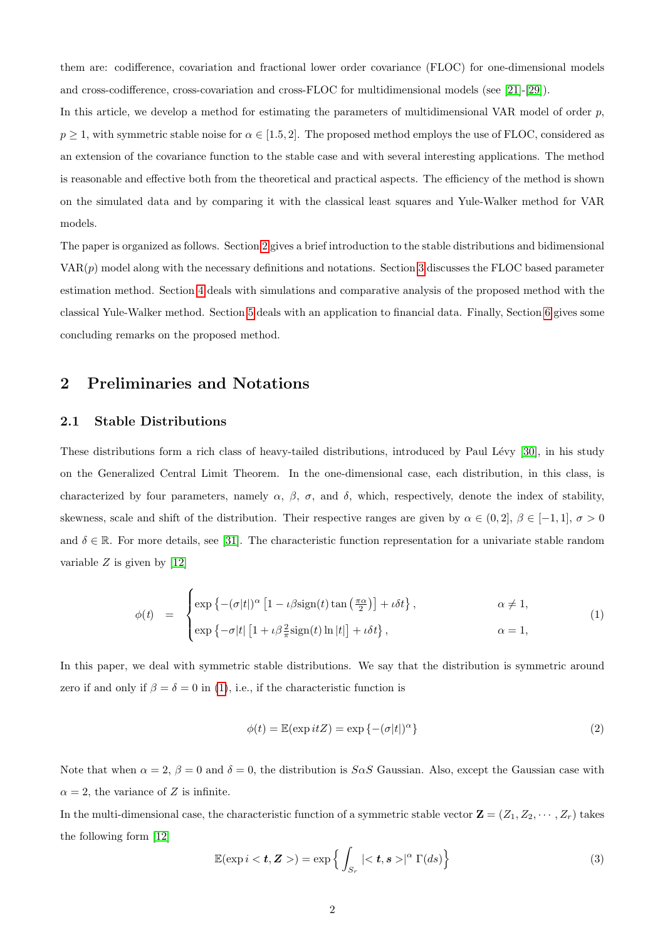them are: codifference, covariation and fractional lower order covariance (FLOC) for one-dimensional models and cross-codifference, cross-covariation and cross-FLOC for multidimensional models (see [\[21\]](#page-13-5)-[\[29\]](#page-13-6)).

In this article, we develop a method for estimating the parameters of multidimensional VAR model of order  $p$ .  $p \ge 1$ , with symmetric stable noise for  $\alpha \in [1.5, 2]$ . The proposed method employs the use of FLOC, considered as an extension of the covariance function to the stable case and with several interesting applications. The method is reasonable and effective both from the theoretical and practical aspects. The efficiency of the method is shown on the simulated data and by comparing it with the classical least squares and Yule-Walker method for VAR models.

The paper is organized as follows. Section [2](#page-1-0) gives a brief introduction to the stable distributions and bidimensional  $VAR(p)$  model along with the necessary definitions and notations. Section [3](#page-4-0) discusses the FLOC based parameter estimation method. Section [4](#page-5-0) deals with simulations and comparative analysis of the proposed method with the classical Yule-Walker method. Section [5](#page-10-0) deals with an application to financial data. Finally, Section [6](#page-12-0) gives some concluding remarks on the proposed method.

## <span id="page-1-0"></span>2 Preliminaries and Notations

#### 2.1 Stable Distributions

These distributions form a rich class of heavy-tailed distributions, introduced by Paul Lévy [\[30\]](#page-13-7), in his study on the Generalized Central Limit Theorem. In the one-dimensional case, each distribution, in this class, is characterized by four parameters, namely  $\alpha$ ,  $\beta$ ,  $\sigma$ , and  $\delta$ , which, respectively, denote the index of stability, skewness, scale and shift of the distribution. Their respective ranges are given by  $\alpha \in (0,2], \beta \in [-1,1], \sigma > 0$ and  $\delta \in \mathbb{R}$ . For more details, see [\[31\]](#page-13-8). The characteristic function representation for a univariate stable random variable  $Z$  is given by [\[12\]](#page-13-2)

<span id="page-1-1"></span>
$$
\phi(t) = \begin{cases} \exp\left\{- (\sigma|t|)^{\alpha} \left[1 - \iota \beta \operatorname{sign}(t) \tan\left(\frac{\pi \alpha}{2}\right)\right] + \iota \delta t\right\}, & \alpha \neq 1, \\ \exp\left\{- \sigma|t| \left[1 + \iota \beta \frac{2}{\pi} \operatorname{sign}(t) \ln|t|\right] + \iota \delta t\right\}, & \alpha = 1, \end{cases}
$$
(1)

In this paper, we deal with symmetric stable distributions. We say that the distribution is symmetric around zero if and only if  $\beta = \delta = 0$  in [\(1\)](#page-1-1), i.e., if the characteristic function is

$$
\phi(t) = \mathbb{E}(\exp itZ) = \exp\left\{-(\sigma|t|)^{\alpha}\right\} \tag{2}
$$

Note that when  $\alpha = 2$ ,  $\beta = 0$  and  $\delta = 0$ , the distribution is  $S \alpha S$  Gaussian. Also, except the Gaussian case with  $\alpha = 2$ , the variance of Z is infinite.

In the multi-dimensional case, the characteristic function of a symmetric stable vector  $\mathbf{Z} = (Z_1, Z_2, \cdots, Z_r)$  takes the following form [\[12\]](#page-13-2)

<span id="page-1-2"></span>
$$
\mathbb{E}(\exp i < t, \mathbf{Z} >) = \exp\left\{ \int_{S_r} \left| \langle t, s \rangle \right|^\alpha \Gamma(ds) \right\} \tag{3}
$$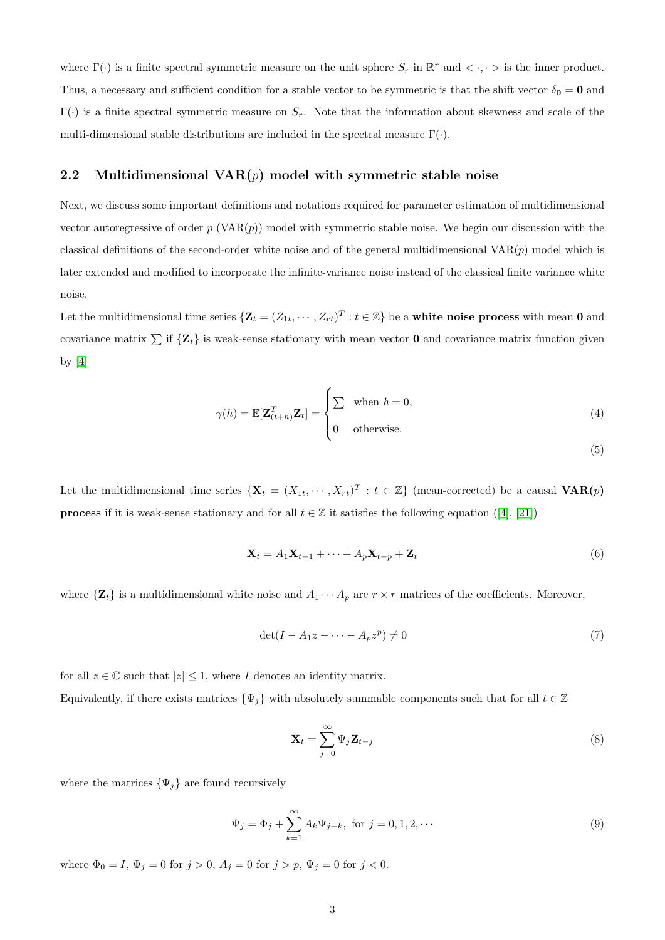where  $\Gamma(\cdot)$  is a finite spectral symmetric measure on the unit sphere  $S_r$  in  $\mathbb{R}^r$  and  $\langle \cdot, \cdot \rangle$  is the inner product. Thus, a necessary and sufficient condition for a stable vector to be symmetric is that the shift vector  $\delta_0 = 0$  and  $\Gamma(\cdot)$  is a finite spectral symmetric measure on  $S_r$ . Note that the information about skewness and scale of the multi-dimensional stable distributions are included in the spectral measure  $\Gamma(\cdot)$ .

#### 2.2 Multidimensional  $VAR(p)$  model with symmetric stable noise

Next, we discuss some important definitions and notations required for parameter estimation of multidimensional vector autoregressive of order p (VAR $(p)$ ) model with symmetric stable noise. We begin our discussion with the classical definitions of the second-order white noise and of the general multidimensional  $VAR(p)$  model which is later extended and modified to incorporate the infinite-variance noise instead of the classical finite variance white noise.

Let the multidimensional time series  $\{Z_t = (Z_{1t}, \dots, Z_{rt})^T : t \in \mathbb{Z}\}$  be a **white noise process** with mean 0 and covariance matrix  $\sum$  if  $\{Z_t\}$  is weak-sense stationary with mean vector 0 and covariance matrix function given by [\[4\]](#page-13-9)

$$
\gamma(h) = \mathbb{E}[\mathbf{Z}_{(t+h)}^T \mathbf{Z}_t] = \begin{cases} \sum & \text{when } h = 0, \\ 0 & \text{otherwise.} \end{cases}
$$
(4)

(5)

Let the multidimensional time series  $\{X_t = (X_{1t}, \dots, X_{rt})^T : t \in \mathbb{Z}\}\$  (mean-corrected) be a causal  $VAR(p)$ **process**if it is weak-sense stationary and for all  $t \in \mathbb{Z}$  it satisfies the following equation ([\[4\]](#page-13-9), [\[21\]](#page-13-5))

$$
\mathbf{X}_t = A_1 \mathbf{X}_{t-1} + \dots + A_p \mathbf{X}_{t-p} + \mathbf{Z}_t \tag{6}
$$

where  $\{Z_t\}$  is a multidimensional white noise and  $A_1 \cdots A_p$  are  $r \times r$  matrices of the coefficients. Moreover,

$$
\det(I - A_1 z - \dots - A_p z^p) \neq 0 \tag{7}
$$

for all  $z \in \mathbb{C}$  such that  $|z| \leq 1$ , where I denotes an identity matrix. Equivalently, if there exists matrices  $\{\Psi_j\}$  with absolutely summable components such that for all  $t \in \mathbb{Z}$ 

$$
\mathbf{X}_{t} = \sum_{j=0}^{\infty} \Psi_{j} \mathbf{Z}_{t-j} \tag{8}
$$

where the matrices  $\{\Psi_j\}$  are found recursively

$$
\Psi_j = \Phi_j + \sum_{k=1}^{\infty} A_k \Psi_{j-k}, \text{ for } j = 0, 1, 2, \cdots
$$
\n(9)

where  $\Phi_0 = I$ ,  $\Phi_j = 0$  for  $j > 0$ ,  $A_j = 0$  for  $j > p$ ,  $\Psi_j = 0$  for  $j < 0$ .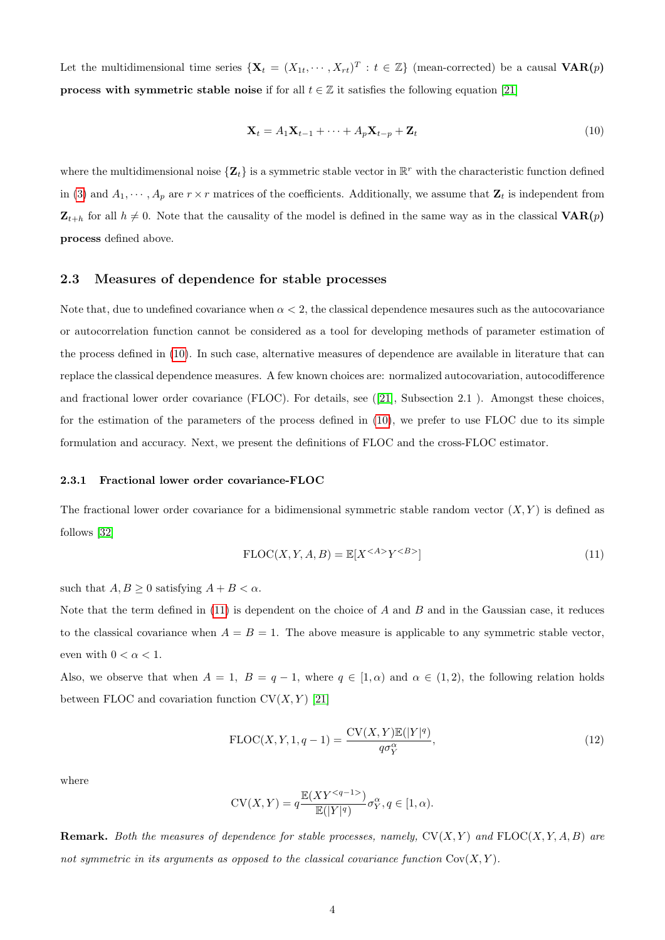Let the multidimensional time series  $\{X_t = (X_{1t}, \dots, X_{rt})^T : t \in \mathbb{Z}\}\$  (mean-corrected) be a causal  $VAR(p)$ **process with symmetric stable noise** if for all  $t \in \mathbb{Z}$  it satisfies the following equation [\[21\]](#page-13-5)

<span id="page-3-0"></span>
$$
\mathbf{X}_t = A_1 \mathbf{X}_{t-1} + \dots + A_p \mathbf{X}_{t-p} + \mathbf{Z}_t \tag{10}
$$

where the multidimensional noise  $\{Z_t\}$  is a symmetric stable vector in  $\mathbb{R}^r$  with the characteristic function defined in [\(3\)](#page-1-2) and  $A_1, \dots, A_p$  are  $r \times r$  matrices of the coefficients. Additionally, we assume that  $\mathbf{Z}_t$  is independent from  $\mathbf{Z}_{t+h}$  for all  $h \neq 0$ . Note that the causality of the model is defined in the same way as in the classical  $\mathbf{VAR}(p)$ process defined above.

### 2.3 Measures of dependence for stable processes

Note that, due to undefined covariance when  $\alpha < 2$ , the classical dependence mesaures such as the autocovariance or autocorrelation function cannot be considered as a tool for developing methods of parameter estimation of the process defined in [\(10\)](#page-3-0). In such case, alternative measures of dependence are available in literature that can replace the classical dependence measures. A few known choices are: normalized autocovariation, autocodifference and fractional lower order covariance (FLOC). For details, see([\[21\]](#page-13-5), Subsection 2.1 ). Amongst these choices, for the estimation of the parameters of the process defined in [\(10\)](#page-3-0), we prefer to use FLOC due to its simple formulation and accuracy. Next, we present the definitions of FLOC and the cross-FLOC estimator.

#### 2.3.1 Fractional lower order covariance-FLOC

The fractional lower order covariance for a bidimensional symmetric stable random vector  $(X, Y)$  is defined as follows [\[32\]](#page-13-10)

<span id="page-3-1"></span>
$$
\text{FLOC}(X, Y, A, B) = \mathbb{E}[X^{\leq A>}Y^{\leq B>}]
$$
\n(11)

such that  $A, B \geq 0$  satisfying  $A + B < \alpha$ .

Note that the term defined in  $(11)$  is dependent on the choice of A and B and in the Gaussian case, it reduces to the classical covariance when  $A = B = 1$ . The above measure is applicable to any symmetric stable vector, even with  $0 < \alpha < 1$ .

Also, we observe that when  $A = 1$ ,  $B = q - 1$ , where  $q \in [1, \alpha)$  and  $\alpha \in (1, 2)$ , the following relation holds between FLOC and covariation function  $CV(X, Y)$  [\[21\]](#page-13-5)

$$
\text{FLOC}(X, Y, 1, q-1) = \frac{\text{CV}(X, Y) \mathbb{E}(|Y|^q)}{q \sigma_Y^{\alpha}},\tag{12}
$$

where

$$
CV(X, Y) = q \frac{\mathbb{E}(XY^{})}{\mathbb{E}(|Y|^q)} \sigma_Y^{\alpha}, q \in [1, \alpha).
$$

**Remark.** Both the measures of dependence for stable processes, namely,  $CV(X, Y)$  and  $FLOC(X, Y, A, B)$  are not symmetric in its arguments as opposed to the classical covariance function  $Cov(X, Y)$ .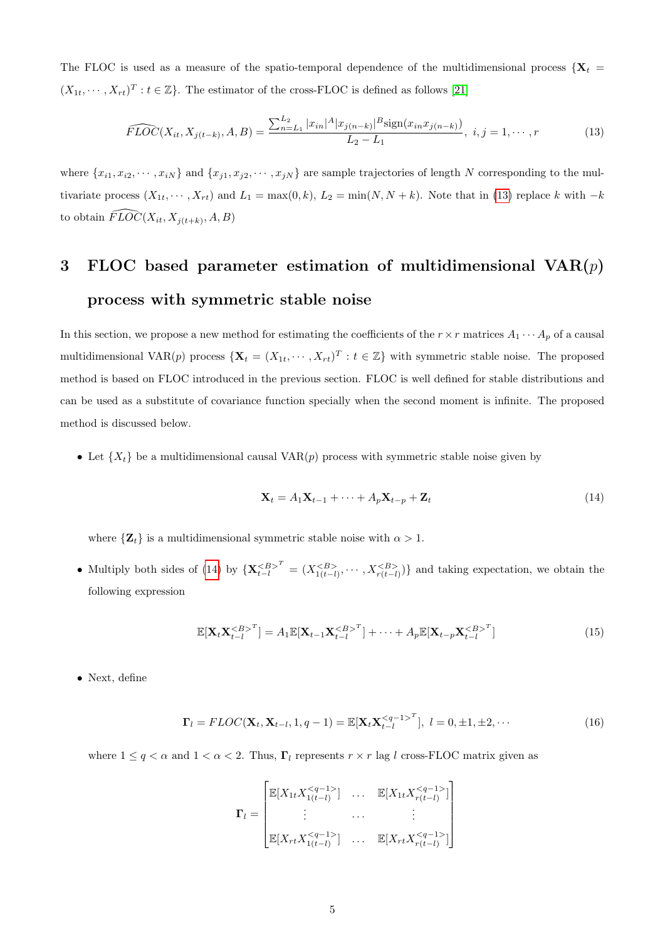The FLOC is used as a measure of the spatio-temporal dependence of the multidimensional process  ${X_t}$  $(X_{1t},\dots,X_{rt})^T: t \in \mathbb{Z}$ . The estimator of the cross-FLOC is defined as follows [\[21\]](#page-13-5)

<span id="page-4-1"></span>
$$
\widehat{FLOC}(X_{it}, X_{j(t-k)}, A, B) = \frac{\sum_{n=L_1}^{L_2} |x_{in}|^A |x_{j(n-k)}|^B \text{sign}(x_{in} x_{j(n-k)})}{L_2 - L_1}, \quad i, j = 1, \cdots, r
$$
\n(13)

where  $\{x_{i1}, x_{i2}, \cdots, x_{iN}\}\$  and  $\{x_{j1}, x_{j2}, \cdots, x_{jN}\}\$  are sample trajectories of length N corresponding to the multivariate process  $(X_{1t}, \dots, X_{rt})$  and  $L_1 = \max(0, k)$ ,  $L_2 = \min(N, N + k)$ . Note that in [\(13\)](#page-4-1) replace k with  $-k$ to obtain  $\widehat{FLOC}(X_{it}, X_{j(t+k)}, A, B)$ 

## <span id="page-4-0"></span>3 FLOC based parameter estimation of multidimensional  $VAR(p)$ process with symmetric stable noise

In this section, we propose a new method for estimating the coefficients of the  $r \times r$  matrices  $A_1 \cdots A_p$  of a causal multidimensional VAR(p) process  $\{X_t = (X_{1t}, \dots, X_{rt})^T : t \in \mathbb{Z}\}\$  with symmetric stable noise. The proposed method is based on FLOC introduced in the previous section. FLOC is well defined for stable distributions and can be used as a substitute of covariance function specially when the second moment is infinite. The proposed method is discussed below.

• Let  $\{X_t\}$  be a multidimensional causal VAR $(p)$  process with symmetric stable noise given by

<span id="page-4-2"></span>
$$
\mathbf{X}_t = A_1 \mathbf{X}_{t-1} + \dots + A_p \mathbf{X}_{t-p} + \mathbf{Z}_t \tag{14}
$$

where  $\{Z_t\}$  is a multidimensional symmetric stable noise with  $\alpha > 1$ .

• Multiply both sides of [\(14\)](#page-4-2) by  $\{X_{t-l}^{\langle B \rangle} : (X_{t-l}^{\langle B \rangle}, \cdots, X_{r(t-l)}^{\langle B \rangle})\}$  and taking expectation, we obtain the following expression

<span id="page-4-3"></span>
$$
\mathbb{E}[\mathbf{X}_t \mathbf{X}_{t-l}^{}^T] = A_1 \mathbb{E}[\mathbf{X}_{t-1} \mathbf{X}_{t-l}^{}^T] + \dots + A_p \mathbb{E}[\mathbf{X}_{t-p} \mathbf{X}_{t-l}^{}^T]
$$
(15)

• Next, define

$$
\mathbf{\Gamma}_{l} = FLOC(\mathbf{X}_{t}, \mathbf{X}_{t-l}, 1, q-1) = \mathbb{E}[\mathbf{X}_{t}, \mathbf{X}_{t-l}^{\leq q-1>}^{T}], \ l = 0, \pm 1, \pm 2, \cdots
$$
\n(16)

where  $1 \le q < \alpha$  and  $1 < \alpha < 2$ . Thus,  $\Gamma_l$  represents  $r \times r$  lag l cross-FLOC matrix given as

$$
\mathbf{\Gamma}_{l} = \begin{bmatrix} \mathbb{E}[X_{1t}X_{1(t-l)}^{}] & \dots & \mathbb{E}[X_{1t}X_{r(t-l)}^{}] \\ \vdots & \dots & \vdots \\ \mathbb{E}[X_{rt}X_{1(t-l)}^{}] & \dots & \mathbb{E}[X_{rt}X_{r(t-l)}^{}] \end{bmatrix}
$$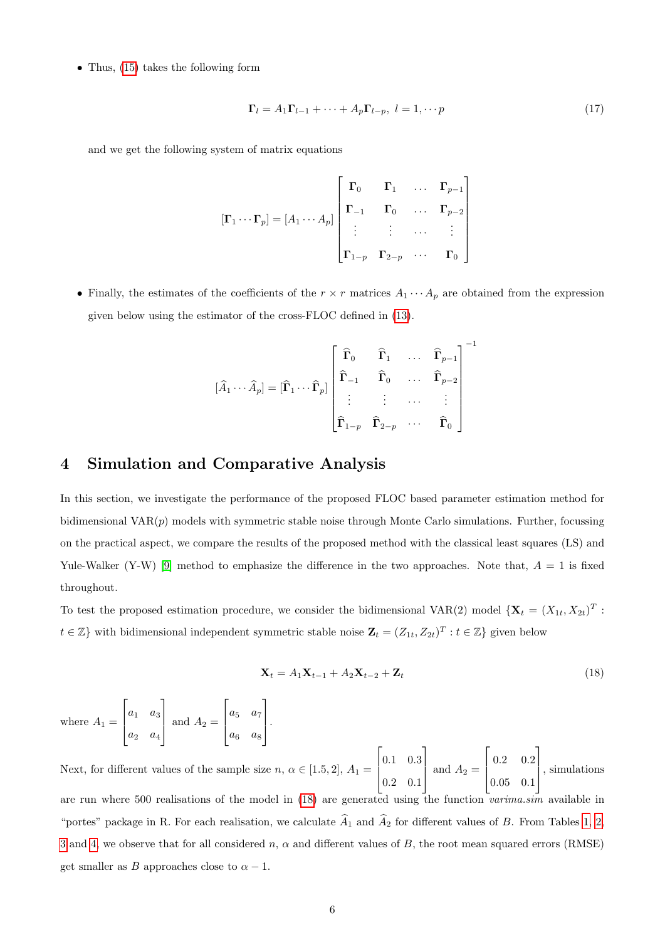• Thus, [\(15\)](#page-4-3) takes the following form

$$
\Gamma_l = A_1 \Gamma_{l-1} + \dots + A_p \Gamma_{l-p}, \ l = 1, \dots p \tag{17}
$$

and we get the following system of matrix equations

$$
\begin{bmatrix} \mathbf{\Gamma}_1 \cdots \mathbf{\Gamma}_p \end{bmatrix} = \begin{bmatrix} A_1 \cdots A_p \end{bmatrix} \begin{bmatrix} \mathbf{\Gamma}_0 & \mathbf{\Gamma}_1 & \dots & \mathbf{\Gamma}_{p-1} \\ \mathbf{\Gamma}_{-1} & \mathbf{\Gamma}_0 & \dots & \mathbf{\Gamma}_{p-2} \\ \vdots & \vdots & \dots & \vdots \\ \mathbf{\Gamma}_{1-p} & \mathbf{\Gamma}_{2-p} & \dots & \mathbf{\Gamma}_0 \end{bmatrix}
$$

• Finally, the estimates of the coefficients of the  $r \times r$  matrices  $A_1 \cdots A_p$  are obtained from the expression given below using the estimator of the cross-FLOC defined in [\(13\)](#page-4-1).

$$
\left[\widehat{A}_{1} \cdots \widehat{A}_{p}\right] = \left[\widehat{\Gamma}_{1} \cdots \widehat{\Gamma}_{p}\right] \begin{bmatrix} \widehat{\Gamma}_{0} & \widehat{\Gamma}_{1} & \cdots & \widehat{\Gamma}_{p-1} \\ \widehat{\Gamma}_{-1} & \widehat{\Gamma}_{0} & \cdots & \widehat{\Gamma}_{p-2} \\ \vdots & \vdots & \cdots & \vdots \\ \widehat{\Gamma}_{1-p} & \widehat{\Gamma}_{2-p} & \cdots & \widehat{\Gamma}_{0} \end{bmatrix}^{-1}
$$

## <span id="page-5-0"></span>4 Simulation and Comparative Analysis

In this section, we investigate the performance of the proposed FLOC based parameter estimation method for bidimensional  $VAR(p)$  models with symmetric stable noise through Monte Carlo simulations. Further, focussing on the practical aspect, we compare the results of the proposed method with the classical least squares (LS) and Yule-Walker (Y-W) [\[9\]](#page-13-11) method to emphasize the difference in the two approaches. Note that,  $A = 1$  is fixed throughout.

To test the proposed estimation procedure, we consider the bidimensional VAR(2) model  $\{X_t = (X_{1t}, X_{2t})^T :$  $t \in \mathbb{Z}$  with bidimensional independent symmetric stable noise  $\mathbf{Z}_t = (Z_{1t}, Z_{2t})^T : t \in \mathbb{Z}$  given below

<span id="page-5-1"></span>
$$
\mathbf{X}_t = A_1 \mathbf{X}_{t-1} + A_2 \mathbf{X}_{t-2} + \mathbf{Z}_t \tag{18}
$$

where  $A_1 =$  $\lceil$  $\vert$  $a_1 \quad a_3$  $a_2 \quad a_4$ 1 and  $A_2 =$  $\lceil$  $\vert$  $a_5$   $a_7$  $a_6$  a<sub>8</sub> 1  $\vert \cdot$ 

Next, for different values of the sample size  $n, \alpha \in [1.5, 2], A_1 =$  $\lceil$  $\Big\}$ 0.1 0.3 0.2 0.1 1 and  $A_2 =$  $\sqrt{ }$  $\overline{\phantom{a}}$ 0.2 0.2 0.05 0.1 1 , simulations are run where 500 realisations of the model in [\(18\)](#page-5-1) are generated using the function varima.sim available in "portes" package in R. For each realisation, we calculate  $\widehat{A}_1$  and  $\widehat{A}_2$  for different values of B. From Tables [1,](#page-6-0) [2,](#page-7-0) [3](#page-7-1) and [4,](#page-8-0) we observe that for all considered n,  $\alpha$  and different values of B, the root mean squared errors (RMSE) get smaller as B approaches close to  $\alpha - 1$ .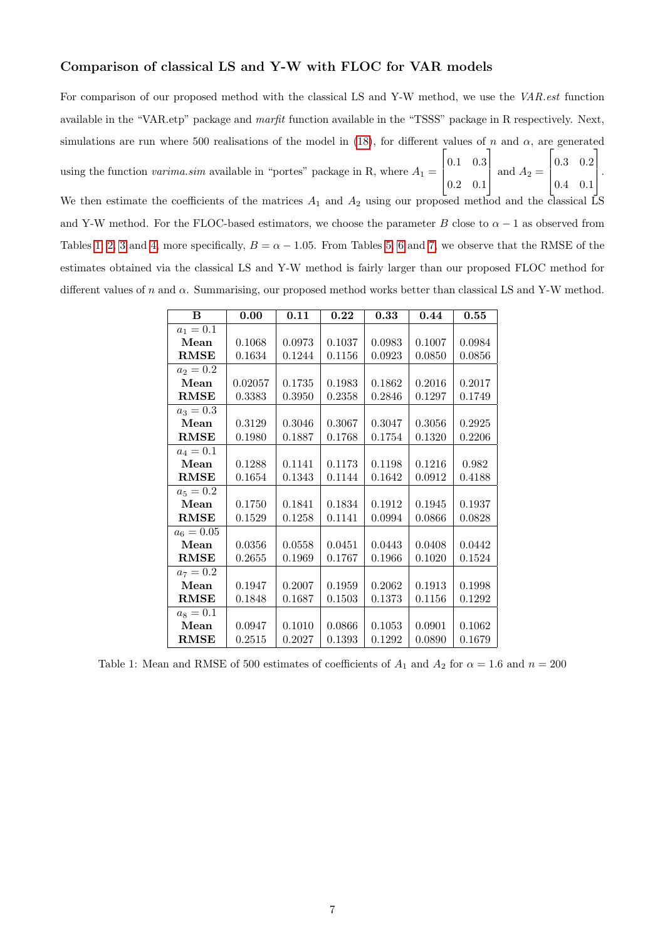#### Comparison of classical LS and Y-W with FLOC for VAR models

For comparison of our proposed method with the classical LS and Y-W method, we use the VAR.est function available in the "VAR.etp" package and marfit function available in the "TSSS" package in R respectively. Next, simulations are run where 500 realisations of the model in [\(18\)](#page-5-1), for different values of n and  $\alpha$ , are generated using the function *varima.sim* available in "portes" package in R, where  $A_1 =$  $\sqrt{ }$  $\Big\}$ 0.1 0.3 0.2 0.1 1  $\Big|$  and  $A_2 =$  $\sqrt{ }$  $\Big\}$ 0.3 0.2 0.4 0.1 1  $\vert \cdot$ We then estimate the coefficients of the matrices  $A_1$  and  $A_2$  using our proposed method and the classical LS and Y-W method. For the FLOC-based estimators, we choose the parameter B close to  $\alpha - 1$  as observed from Tables [1,](#page-6-0) [2,](#page-7-0) [3](#page-7-1) and [4,](#page-8-0) more specifically,  $B = \alpha - 1.05$ . From Tables [5,](#page-8-1) [6](#page-9-0) and [7,](#page-9-1) we observe that the RMSE of the estimates obtained via the classical LS and Y-W method is fairly larger than our proposed FLOC method for different values of n and  $\alpha$ . Summarising, our proposed method works better than classical LS and Y-W method.

| B            | 0.00    | 0.11   | 0.22   | 0.33   | 0.44   | 0.55   |
|--------------|---------|--------|--------|--------|--------|--------|
| $a_1 = 0.1$  |         |        |        |        |        |        |
| Mean         | 0.1068  | 0.0973 | 0.1037 | 0.0983 | 0.1007 | 0.0984 |
| <b>RMSE</b>  | 0.1634  | 0.1244 | 0.1156 | 0.0923 | 0.0850 | 0.0856 |
| $a_2 = 0.2$  |         |        |        |        |        |        |
| Mean         | 0.02057 | 0.1735 | 0.1983 | 0.1862 | 0.2016 | 0.2017 |
| RMSE         | 0.3383  | 0.3950 | 0.2358 | 0.2846 | 0.1297 | 0.1749 |
| $a_3 = 0.3$  |         |        |        |        |        |        |
| Mean         | 0.3129  | 0.3046 | 0.3067 | 0.3047 | 0.3056 | 0.2925 |
| <b>RMSE</b>  | 0.1980  | 0.1887 | 0.1768 | 0.1754 | 0.1320 | 0.2206 |
| $a_4 = 0.1$  |         |        |        |        |        |        |
| Mean         | 0.1288  | 0.1141 | 0.1173 | 0.1198 | 0.1216 | 0.982  |
| RMSE         | 0.1654  | 0.1343 | 0.1144 | 0.1642 | 0.0912 | 0.4188 |
| $a_5 = 0.2$  |         |        |        |        |        |        |
| Mean         | 0.1750  | 0.1841 | 0.1834 | 0.1912 | 0.1945 | 0.1937 |
| <b>RMSE</b>  | 0.1529  | 0.1258 | 0.1141 | 0.0994 | 0.0866 | 0.0828 |
| $a_6 = 0.05$ |         |        |        |        |        |        |
| Mean         | 0.0356  | 0.0558 | 0.0451 | 0.0443 | 0.0408 | 0.0442 |
| <b>RMSE</b>  | 0.2655  | 0.1969 | 0.1767 | 0.1966 | 0.1020 | 0.1524 |
| $a_7 = 0.2$  |         |        |        |        |        |        |
| Mean         | 0.1947  | 0.2007 | 0.1959 | 0.2062 | 0.1913 | 0.1998 |
| <b>RMSE</b>  | 0.1848  | 0.1687 | 0.1503 | 0.1373 | 0.1156 | 0.1292 |
| $a_8 = 0.1$  |         |        |        |        |        |        |
| Mean         | 0.0947  | 0.1010 | 0.0866 | 0.1053 | 0.0901 | 0.1062 |
| RMSE         | 0.2515  | 0.2027 | 0.1393 | 0.1292 | 0.0890 | 0.1679 |

<span id="page-6-0"></span>Table 1: Mean and RMSE of 500 estimates of coefficients of  $A_1$  and  $A_2$  for  $\alpha = 1.6$  and  $n = 200$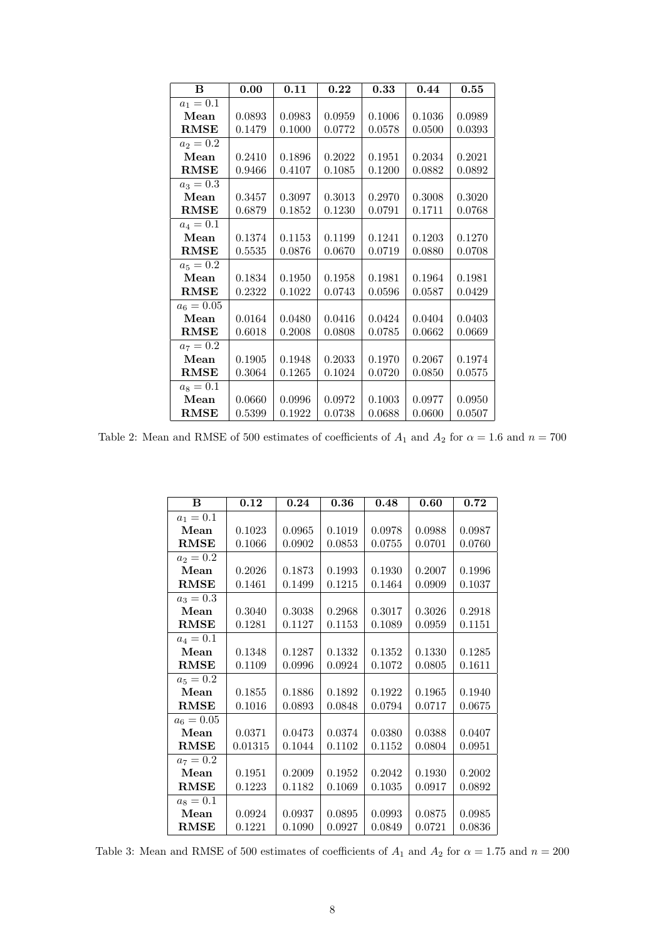| B            | 0.00   | 0.11   | 0.22   | 0.33   | 0.44   | 0.55   |
|--------------|--------|--------|--------|--------|--------|--------|
| $a_1 = 0.1$  |        |        |        |        |        |        |
| Mean         | 0.0893 | 0.0983 | 0.0959 | 0.1006 | 0.1036 | 0.0989 |
| <b>RMSE</b>  | 0.1479 | 0.1000 | 0.0772 | 0.0578 | 0.0500 | 0.0393 |
| $a_2 = 0.2$  |        |        |        |        |        |        |
| Mean         | 0.2410 | 0.1896 | 0.2022 | 0.1951 | 0.2034 | 0.2021 |
| <b>RMSE</b>  | 0.9466 | 0.4107 | 0.1085 | 0.1200 | 0.0882 | 0.0892 |
| $a_3 = 0.3$  |        |        |        |        |        |        |
| Mean         | 0.3457 | 0.3097 | 0.3013 | 0.2970 | 0.3008 | 0.3020 |
| <b>RMSE</b>  | 0.6879 | 0.1852 | 0.1230 | 0.0791 | 0.1711 | 0.0768 |
| $a_4 = 0.1$  |        |        |        |        |        |        |
| Mean         | 0.1374 | 0.1153 | 0.1199 | 0.1241 | 0.1203 | 0.1270 |
| <b>RMSE</b>  | 0.5535 | 0.0876 | 0.0670 | 0.0719 | 0.0880 | 0.0708 |
| $a_5 = 0.2$  |        |        |        |        |        |        |
| Mean         | 0.1834 | 0.1950 | 0.1958 | 0.1981 | 0.1964 | 0.1981 |
| <b>RMSE</b>  | 0.2322 | 0.1022 | 0.0743 | 0.0596 | 0.0587 | 0.0429 |
| $a_6 = 0.05$ |        |        |        |        |        |        |
| Mean         | 0.0164 | 0.0480 | 0.0416 | 0.0424 | 0.0404 | 0.0403 |
| <b>RMSE</b>  | 0.6018 | 0.2008 | 0.0808 | 0.0785 | 0.0662 | 0.0669 |
| $a_7 = 0.2$  |        |        |        |        |        |        |
| Mean         | 0.1905 | 0.1948 | 0.2033 | 0.1970 | 0.2067 | 0.1974 |
| <b>RMSE</b>  | 0.3064 | 0.1265 | 0.1024 | 0.0720 | 0.0850 | 0.0575 |
| $a_8 = 0.1$  |        |        |        |        |        |        |
| Mean         | 0.0660 | 0.0996 | 0.0972 | 0.1003 | 0.0977 | 0.0950 |
| <b>RMSE</b>  | 0.5399 | 0.1922 | 0.0738 | 0.0688 | 0.0600 | 0.0507 |

<span id="page-7-0"></span>Table 2: Mean and RMSE of 500 estimates of coefficients of  $A_1$  and  $A_2$  for  $\alpha = 1.6$  and  $n = 700$ 

| B            | 0.12    | 0.24   | 0.36   | 0.48   | 0.60   | 0.72   |
|--------------|---------|--------|--------|--------|--------|--------|
| $a_1 = 0.1$  |         |        |        |        |        |        |
| Mean         | 0.1023  | 0.0965 | 0.1019 | 0.0978 | 0.0988 | 0.0987 |
| <b>RMSE</b>  | 0.1066  | 0.0902 | 0.0853 | 0.0755 | 0.0701 | 0.0760 |
| $a_2 = 0.2$  |         |        |        |        |        |        |
| Mean         | 0.2026  | 0.1873 | 0.1993 | 0.1930 | 0.2007 | 0.1996 |
| RMSE         | 0.1461  | 0.1499 | 0.1215 | 0.1464 | 0.0909 | 0.1037 |
| $a_3 = 0.3$  |         |        |        |        |        |        |
| Mean         | 0.3040  | 0.3038 | 0.2968 | 0.3017 | 0.3026 | 0.2918 |
| <b>RMSE</b>  | 0.1281  | 0.1127 | 0.1153 | 0.1089 | 0.0959 | 0.1151 |
| $a_4 = 0.1$  |         |        |        |        |        |        |
| Mean         | 0.1348  | 0.1287 | 0.1332 | 0.1352 | 0.1330 | 0.1285 |
| <b>RMSE</b>  | 0.1109  | 0.0996 | 0.0924 | 0.1072 | 0.0805 | 0.1611 |
| $a_5 = 0.2$  |         |        |        |        |        |        |
| Mean         | 0.1855  | 0.1886 | 0.1892 | 0.1922 | 0.1965 | 0.1940 |
| <b>RMSE</b>  | 0.1016  | 0.0893 | 0.0848 | 0.0794 | 0.0717 | 0.0675 |
| $a_6 = 0.05$ |         |        |        |        |        |        |
| Mean         | 0.0371  | 0.0473 | 0.0374 | 0.0380 | 0.0388 | 0.0407 |
| <b>RMSE</b>  | 0.01315 | 0.1044 | 0.1102 | 0.1152 | 0.0804 | 0.0951 |
| $a_7 = 0.2$  |         |        |        |        |        |        |
| Mean         | 0.1951  | 0.2009 | 0.1952 | 0.2042 | 0.1930 | 0.2002 |
| <b>RMSE</b>  | 0.1223  | 0.1182 | 0.1069 | 0.1035 | 0.0917 | 0.0892 |
| $a_8 = 0.1$  |         |        |        |        |        |        |
| Mean         | 0.0924  | 0.0937 | 0.0895 | 0.0993 | 0.0875 | 0.0985 |
| RMSE         | 0.1221  | 0.1090 | 0.0927 | 0.0849 | 0.0721 | 0.0836 |

<span id="page-7-1"></span>Table 3: Mean and RMSE of 500 estimates of coefficients of  $A_1$  and  $A_2$  for  $\alpha = 1.75$  and  $n = 200$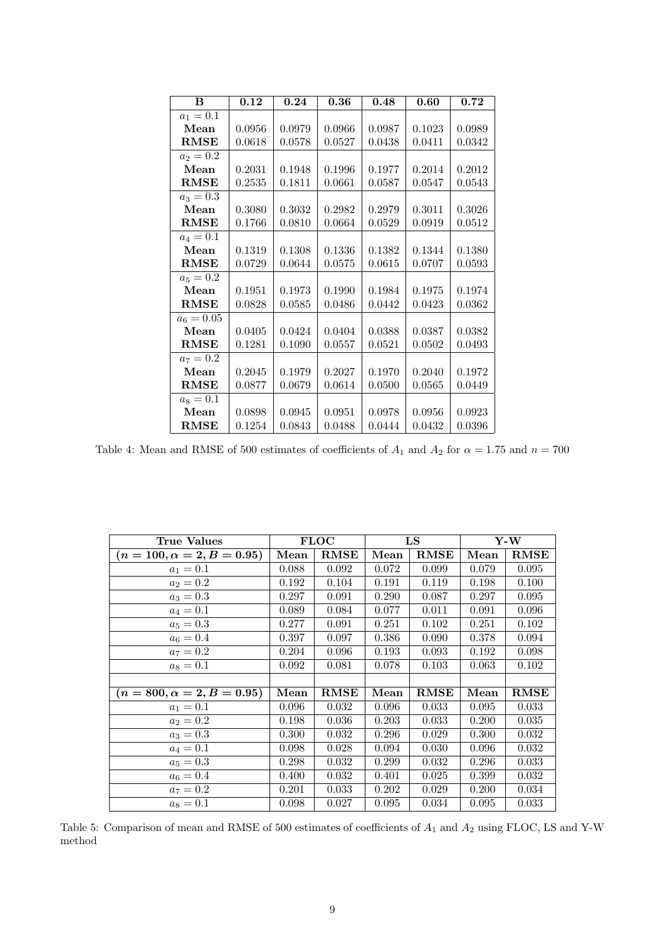| B            | 0.12   | 0.24   | 0.36   | 0.48   | 0.60   | 0.72   |
|--------------|--------|--------|--------|--------|--------|--------|
| $a_1 = 0.1$  |        |        |        |        |        |        |
| Mean         | 0.0956 | 0.0979 | 0.0966 | 0.0987 | 0.1023 | 0.0989 |
| <b>RMSE</b>  | 0.0618 | 0.0578 | 0.0527 | 0.0438 | 0.0411 | 0.0342 |
| $a_2 = 0.2$  |        |        |        |        |        |        |
| Mean         | 0.2031 | 0.1948 | 0.1996 | 0.1977 | 0.2014 | 0.2012 |
| <b>RMSE</b>  | 0.2535 | 0.1811 | 0.0661 | 0.0587 | 0.0547 | 0.0543 |
| $a_3 = 0.3$  |        |        |        |        |        |        |
| Mean         | 0.3080 | 0.3032 | 0.2982 | 0.2979 | 0.3011 | 0.3026 |
| $\rm RMSE$   | 0.1766 | 0.0810 | 0.0664 | 0.0529 | 0.0919 | 0.0512 |
| $a_4 = 0.1$  |        |        |        |        |        |        |
| Mean         | 0.1319 | 0.1308 | 0.1336 | 0.1382 | 0.1344 | 0.1380 |
| <b>RMSE</b>  | 0.0729 | 0.0644 | 0.0575 | 0.0615 | 0.0707 | 0.0593 |
| $a_5 = 0.2$  |        |        |        |        |        |        |
| Mean         | 0.1951 | 0.1973 | 0.1990 | 0.1984 | 0.1975 | 0.1974 |
| <b>RMSE</b>  | 0.0828 | 0.0585 | 0.0486 | 0.0442 | 0.0423 | 0.0362 |
| $a_6 = 0.05$ |        |        |        |        |        |        |
| Mean         | 0.0405 | 0.0424 | 0.0404 | 0.0388 | 0.0387 | 0.0382 |
| <b>RMSE</b>  | 0.1281 | 0.1090 | 0.0557 | 0.0521 | 0.0502 | 0.0493 |
| $a_7 = 0.2$  |        |        |        |        |        |        |
| Mean         | 0.2045 | 0.1979 | 0.2027 | 0.1970 | 0.2040 | 0.1972 |
| $\rm RMSE$   | 0.0877 | 0.0679 | 0.0614 | 0.0500 | 0.0565 | 0.0449 |
| $a_8 = 0.1$  |        |        |        |        |        |        |
| Mean         | 0.0898 | 0.0945 | 0.0951 | 0.0978 | 0.0956 | 0.0923 |
| <b>RMSE</b>  | 0.1254 | 0.0843 | 0.0488 | 0.0444 | 0.0432 | 0.0396 |

<span id="page-8-0"></span>Table 4: Mean and RMSE of 500 estimates of coefficients of  $A_1$  and  $A_2$  for  $\alpha = 1.75$  and  $n = 700$ 

| True Values                       | <b>FLOC</b> |             |       | LS          | $Y-W$ |             |
|-----------------------------------|-------------|-------------|-------|-------------|-------|-------------|
| $(n = 100, \alpha = 2, B = 0.95)$ | Mean        | <b>RMSE</b> | Mean  | RMSE        | Mean  | <b>RMSE</b> |
| $a_1 = 0.1$                       | 0.088       | 0.092       | 0.072 | 0.099       | 0.079 | 0.095       |
| $a_2 = 0.2$                       | 0.192       | 0.104       | 0.191 | 0.119       | 0.198 | 0.100       |
| $a_3 = 0.3$                       | 0.297       | 0.091       | 0.290 | 0.087       | 0.297 | 0.095       |
| $a_4 = 0.1$                       | 0.089       | 0.084       | 0.077 | 0.011       | 0.091 | 0.096       |
| $a_5 = 0.3$                       | 0.277       | 0.091       | 0.251 | 0.102       | 0.251 | 0.102       |
| $a_6 = 0.4$                       | 0.397       | 0.097       | 0.386 | 0.090       | 0.378 | 0.094       |
| $a_7 = 0.2$                       | 0.204       | 0.096       | 0.193 | 0.093       | 0.192 | 0.098       |
| $a_8 = 0.1$                       | 0.092       | 0.081       | 0.078 | 0.103       | 0.063 | 0.102       |
|                                   |             |             |       |             |       |             |
| $(n = 800, \alpha = 2, B = 0.95)$ | Mean        | <b>RMSE</b> | Mean  | <b>RMSE</b> | Mean  | <b>RMSE</b> |
| $a_1 = 0.1$                       | 0.096       | 0.032       | 0.096 | 0.033       | 0.095 | 0.033       |
| $a_2 = 0.2$                       | 0.198       | 0.036       | 0.203 | 0.033       | 0.200 | 0.035       |
| $a_3 = 0.3$                       | 0.300       | 0.032       | 0.296 | 0.029       | 0.300 | 0.032       |
| $a_4 = 0.1$                       | 0.098       | 0.028       | 0.094 | 0.030       | 0.096 | 0.032       |
| $a_5 = 0.3$                       | 0.298       | 0.032       | 0.299 | 0.032       | 0.296 | 0.033       |
| $a_6 = 0.4$                       | 0.400       | 0.032       | 0.401 | 0.025       | 0.399 | 0.032       |
| $a_7 = 0.2$                       | 0.201       | 0.033       | 0.202 | 0.029       | 0.200 | 0.034       |
| $a_8 = 0.1$                       | 0.098       | 0.027       | 0.095 | 0.034       | 0.095 | 0.033       |

<span id="page-8-1"></span>Table 5: Comparison of mean and RMSE of 500 estimates of coefficients of  $A_1$  and  $A_2$  using FLOC, LS and Y-W method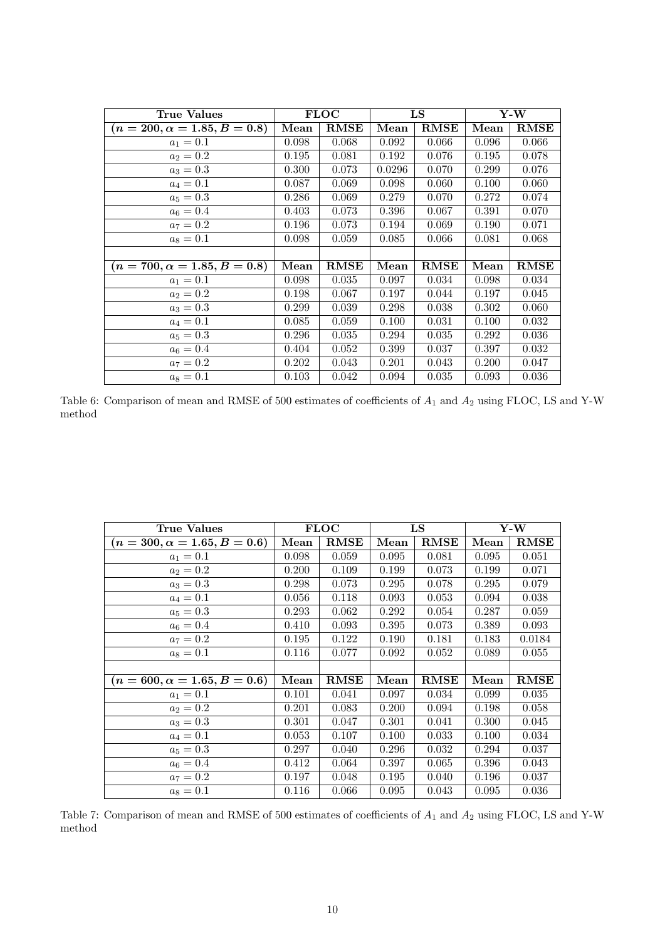| True Values                         |       | <b>FLOC</b> |        | LS          | $Y-W$ |             |
|-------------------------------------|-------|-------------|--------|-------------|-------|-------------|
| $(n = 200, \alpha = 1.85, B = 0.8)$ | Mean  | $\rm RMSE$  | Mean   | <b>RMSE</b> | Mean  | <b>RMSE</b> |
| $a_1 = 0.1$                         | 0.098 | 0.068       | 0.092  | 0.066       | 0.096 | 0.066       |
| $a_2 = 0.2$                         | 0.195 | 0.081       | 0.192  | 0.076       | 0.195 | 0.078       |
| $a_3 = 0.3$                         | 0.300 | 0.073       | 0.0296 | 0.070       | 0.299 | 0.076       |
| $a_4 = 0.1$                         | 0.087 | 0.069       | 0.098  | 0.060       | 0.100 | 0.060       |
| $a_5 = 0.3$                         | 0.286 | 0.069       | 0.279  | 0.070       | 0.272 | 0.074       |
| $a_6 = 0.4$                         | 0.403 | 0.073       | 0.396  | 0.067       | 0.391 | 0.070       |
| $a_7 = 0.2$                         | 0.196 | 0.073       | 0.194  | 0.069       | 0.190 | 0.071       |
| $a_8 = 0.1$                         | 0.098 | 0.059       | 0.085  | 0.066       | 0.081 | 0.068       |
|                                     |       |             |        |             |       |             |
| $(n = 700, \alpha = 1.85, B = 0.8)$ | Mean  | $\rm RMSE$  | Mean   | <b>RMSE</b> | Mean  | <b>RMSE</b> |
| $a_1 = 0.1$                         | 0.098 | 0.035       | 0.097  | 0.034       | 0.098 | 0.034       |
| $a_2 = 0.2$                         | 0.198 | 0.067       | 0.197  | 0.044       | 0.197 | 0.045       |
| $a_3 = 0.3$                         | 0.299 | 0.039       | 0.298  | 0.038       | 0.302 | 0.060       |
| $a_4 = 0.1$                         | 0.085 | 0.059       | 0.100  | 0.031       | 0.100 | 0.032       |
| $a_5 = 0.3$                         | 0.296 | 0.035       | 0.294  | 0.035       | 0.292 | 0.036       |
| $a_6 = 0.4$                         | 0.404 | 0.052       | 0.399  | 0.037       | 0.397 | 0.032       |
| $a_7 = 0.2$                         | 0.202 | 0.043       | 0.201  | 0.043       | 0.200 | 0.047       |
| $a_8 = 0.1$                         | 0.103 | 0.042       | 0.094  | 0.035       | 0.093 | 0.036       |

<span id="page-9-0"></span>Table 6: Comparison of mean and RMSE of 500 estimates of coefficients of  $A_1$  and  $A_2$  using FLOC, LS and Y-W method

| True Values                         |       | <b>FLOC</b> |       | LS          | $Y-W$ |             |
|-------------------------------------|-------|-------------|-------|-------------|-------|-------------|
| $(n = 300, \alpha = 1.65, B = 0.6)$ | Mean  | RMSE        | Mean  | <b>RMSE</b> | Mean  | <b>RMSE</b> |
| $a_1 = 0.1$                         | 0.098 | 0.059       | 0.095 | 0.081       | 0.095 | 0.051       |
| $a_2 = 0.2$                         | 0.200 | 0.109       | 0.199 | 0.073       | 0.199 | 0.071       |
| $a_3 = 0.3$                         | 0.298 | 0.073       | 0.295 | 0.078       | 0.295 | 0.079       |
| $a_4 = 0.1$                         | 0.056 | 0.118       | 0.093 | 0.053       | 0.094 | 0.038       |
| $a_5 = 0.3$                         | 0.293 | 0.062       | 0.292 | 0.054       | 0.287 | 0.059       |
| $a_6 = 0.4$                         | 0.410 | 0.093       | 0.395 | 0.073       | 0.389 | 0.093       |
| $a_7 = 0.2$                         | 0.195 | 0.122       | 0.190 | 0.181       | 0.183 | 0.0184      |
| $a_8 = 0.1$                         | 0.116 | 0.077       | 0.092 | 0.052       | 0.089 | 0.055       |
|                                     |       |             |       |             |       |             |
| $(n = 600, \alpha = 1.65, B = 0.6)$ | Mean  | <b>RMSE</b> | Mean  | <b>RMSE</b> | Mean  | <b>RMSE</b> |
| $a_1 = 0.1$                         | 0.101 | 0.041       | 0.097 | 0.034       | 0.099 | 0.035       |
| $a_2 = 0.2$                         | 0.201 | 0.083       | 0.200 | 0.094       | 0.198 | 0.058       |
| $a_3 = 0.3$                         | 0.301 | 0.047       | 0.301 | 0.041       | 0.300 | 0.045       |
| $a_4 = 0.1$                         | 0.053 | 0.107       | 0.100 | 0.033       | 0.100 | 0.034       |
| $a_5 = 0.3$                         | 0.297 | 0.040       | 0.296 | 0.032       | 0.294 | 0.037       |
| $a_6 = 0.4$                         | 0.412 | 0.064       | 0.397 | 0.065       | 0.396 | 0.043       |
| $a_7 = 0.2$                         | 0.197 | 0.048       | 0.195 | 0.040       | 0.196 | 0.037       |
| $a_8 = 0.1$                         | 0.116 | 0.066       | 0.095 | 0.043       | 0.095 | 0.036       |

<span id="page-9-1"></span>Table 7: Comparison of mean and RMSE of 500 estimates of coefficients of  $A_1$  and  $A_2$  using FLOC, LS and Y-W method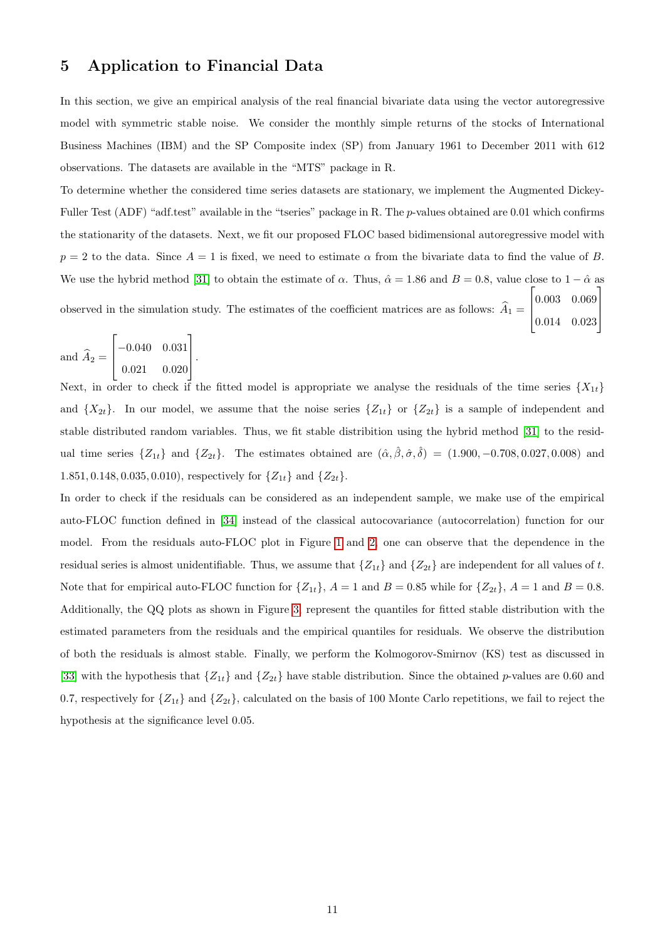## <span id="page-10-0"></span>5 Application to Financial Data

In this section, we give an empirical analysis of the real financial bivariate data using the vector autoregressive model with symmetric stable noise. We consider the monthly simple returns of the stocks of International Business Machines (IBM) and the SP Composite index (SP) from January 1961 to December 2011 with 612 observations. The datasets are available in the "MTS" package in R.

To determine whether the considered time series datasets are stationary, we implement the Augmented Dickey-Fuller Test (ADF) "adf.test" available in the "tseries" package in R. The p-values obtained are 0.01 which confirms the stationarity of the datasets. Next, we fit our proposed FLOC based bidimensional autoregressive model with  $p = 2$  to the data. Since  $A = 1$  is fixed, we need to estimate  $\alpha$  from the bivariate data to find the value of B. We use the hybrid method [\[31\]](#page-13-8) to obtain the estimate of  $\alpha$ . Thus,  $\hat{\alpha} = 1.86$  and  $B = 0.8$ , value close to  $1 - \hat{\alpha}$  as observed in the simulation study. The estimates of the coefficient matrices are as follows:  $A_1 =$  $\sqrt{ }$  $\vert$ 0.003 0.069 0.014 0.023 1  $\perp$ 

and  $A_2 =$  $\lceil$  $\Big\}$ −0.040 0.031 0.021 0.020 1  $\vert \cdot$ 

Next, in order to check if the fitted model is appropriate we analyse the residuals of the time series  $\{X_{1t}\}$ and  $\{X_{2t}\}.$  In our model, we assume that the noise series  $\{Z_{1t}\}\$  or  $\{Z_{2t}\}\$ is a sample of independent and stable distributed random variables. Thus, we fit stable distribition using the hybrid method [\[31\]](#page-13-8) to the residual time series  $\{Z_{1t}\}\$  and  $\{Z_{2t}\}\$ . The estimates obtained are  $(\hat{\alpha}, \hat{\beta}, \hat{\sigma}, \hat{\delta}) = (1.900, -0.708, 0.027, 0.008)$  and 1.851, 0.148, 0.035, 0.010), respectively for  $\{Z_{1t}\}\$  and  $\{Z_{2t}\}\$ .

In order to check if the residuals can be considered as an independent sample, we make use of the empirical auto-FLOC function defined in [\[34\]](#page-13-12) instead of the classical autocovariance (autocorrelation) function for our model. From the residuals auto-FLOC plot in Figure [1](#page-11-0) and [2,](#page-11-1) one can observe that the dependence in the residual series is almost unidentifiable. Thus, we assume that  $\{Z_{1t}\}\$  and  $\{Z_{2t}\}\$ are independent for all values of t. Note that for empirical auto-FLOC function for  $\{Z_{1t}\}\$ ,  $A = 1$  and  $B = 0.85$  while for  $\{Z_{2t}\}\$ ,  $A = 1$  and  $B = 0.85$ . Additionally, the QQ plots as shown in Figure [3,](#page-11-2) represent the quantiles for fitted stable distribution with the estimated parameters from the residuals and the empirical quantiles for residuals. We observe the distribution of both the residuals is almost stable. Finally, we perform the Kolmogorov-Smirnov (KS) test as discussed in [\[33\]](#page-13-13) with the hypothesis that  $\{Z_{1t}\}\$  and  $\{Z_{2t}\}\$  have stable distribution. Since the obtained p-values are 0.60 and 0.7, respectively for  $\{Z_{1t}\}\$  and  $\{Z_{2t}\}\$ , calculated on the basis of 100 Monte Carlo repetitions, we fail to reject the hypothesis at the significance level 0.05.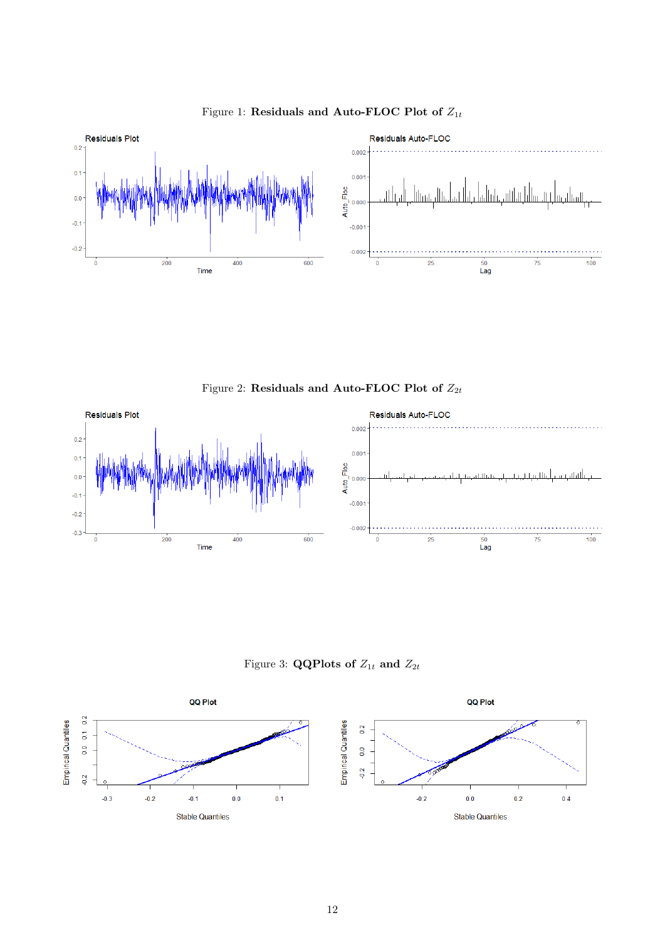

<span id="page-11-0"></span>Figure 1: Residuals and Auto-FLOC Plot of  $\mathbb{Z}_{1t}$ 

<span id="page-11-1"></span>Figure 2: Residuals and Auto-FLOC Plot of  $Z_{2t}$ 



<span id="page-11-2"></span>Figure 3: **QQPlots of**  $Z_{1t}$  and  $Z_{2t}$ 

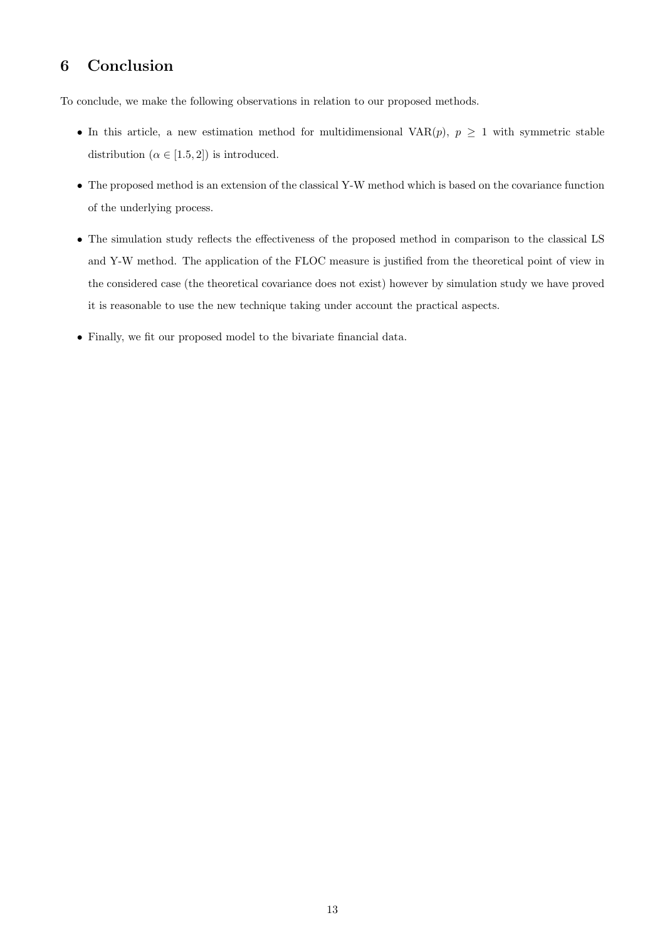## <span id="page-12-0"></span>6 Conclusion

To conclude, we make the following observations in relation to our proposed methods.

- In this article, a new estimation method for multidimensional VAR $(p)$ ,  $p \geq 1$  with symmetric stable distribution  $(\alpha \in [1.5, 2])$  is introduced.
- The proposed method is an extension of the classical Y-W method which is based on the covariance function of the underlying process.
- The simulation study reflects the effectiveness of the proposed method in comparison to the classical LS and Y-W method. The application of the FLOC measure is justified from the theoretical point of view in the considered case (the theoretical covariance does not exist) however by simulation study we have proved it is reasonable to use the new technique taking under account the practical aspects.
- Finally, we fit our proposed model to the bivariate financial data.